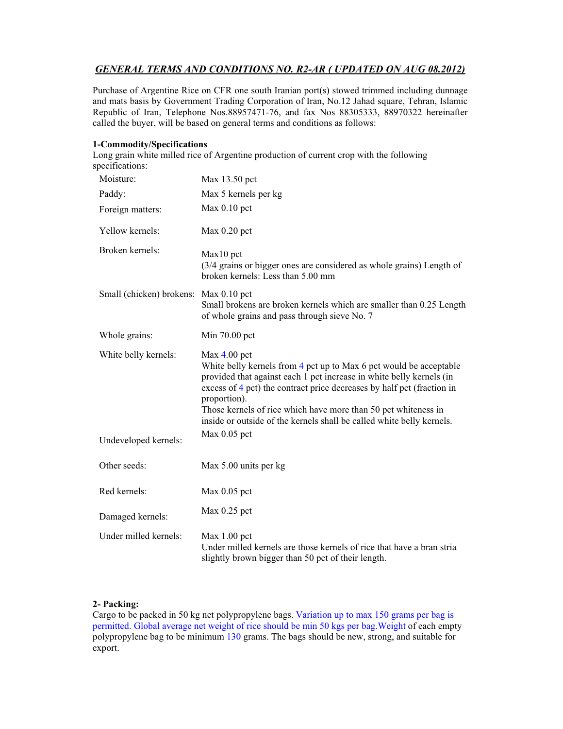# *GENERAL TERMS AND CONDITIONS NO. R2-AR ( UPDATED ON AUG 08.2012)*

Purchase of Argentine Rice on CFR one south Iranian port(s) stowed trimmed including dunnage and mats basis by Government Trading Corporation of Iran, No.12 Jahad square, Tehran, Islamic Republic of Iran, Telephone Nos.88957471-76, and fax Nos 88305333, 88970322 hereinafter called the buyer, will be based on general terms and conditions as follows:

#### **1-Commodity/Specifications**

Long grain white milled rice of Argentine production of current crop with the following specifications:

| Moisture:                             | Max 13.50 pct                                                                                                                                                                                                                                                                                                                                                                                     |
|---------------------------------------|---------------------------------------------------------------------------------------------------------------------------------------------------------------------------------------------------------------------------------------------------------------------------------------------------------------------------------------------------------------------------------------------------|
| Paddy:                                | Max 5 kernels per kg                                                                                                                                                                                                                                                                                                                                                                              |
| Foreign matters:                      | $Max 0.10$ pct                                                                                                                                                                                                                                                                                                                                                                                    |
| Yellow kernels:                       | $Max 0.20$ pct                                                                                                                                                                                                                                                                                                                                                                                    |
| Broken kernels:                       | Max10 pct<br>(3/4 grains or bigger ones are considered as whole grains) Length of<br>broken kernels: Less than 5.00 mm                                                                                                                                                                                                                                                                            |
| Small (chicken) brokens: Max 0.10 pct | Small brokens are broken kernels which are smaller than 0.25 Length<br>of whole grains and pass through sieve No. 7                                                                                                                                                                                                                                                                               |
| Whole grains:                         | Min 70.00 pct                                                                                                                                                                                                                                                                                                                                                                                     |
| White belly kernels:                  | $Max 4.00$ pct<br>White belly kernels from 4 pct up to Max 6 pct would be acceptable<br>provided that against each 1 pct increase in white belly kernels (in<br>excess of 4 pct) the contract price decreases by half pct (fraction in<br>proportion).<br>Those kernels of rice which have more than 50 pct whiteness in<br>inside or outside of the kernels shall be called white belly kernels. |
| Undeveloped kernels:                  | $Max 0.05$ pct                                                                                                                                                                                                                                                                                                                                                                                    |
| Other seeds:                          | Max 5.00 units per kg                                                                                                                                                                                                                                                                                                                                                                             |
| Red kernels:                          | $Max 0.05$ pct                                                                                                                                                                                                                                                                                                                                                                                    |
| Damaged kernels:                      | $Max 0.25$ pct                                                                                                                                                                                                                                                                                                                                                                                    |
| Under milled kernels:                 | $Max 1.00$ pct<br>Under milled kernels are those kernels of rice that have a bran stria<br>slightly brown bigger than 50 pct of their length.                                                                                                                                                                                                                                                     |

### **2- Packing:**

Cargo to be packed in 50 kg net polypropylene bags. Variation up to max 150 grams per bag is permitted. Global average net weight of rice should be min 50 kgs per bag.Weight of each empty polypropylene bag to be minimum 130 grams. The bags should be new, strong, and suitable for export.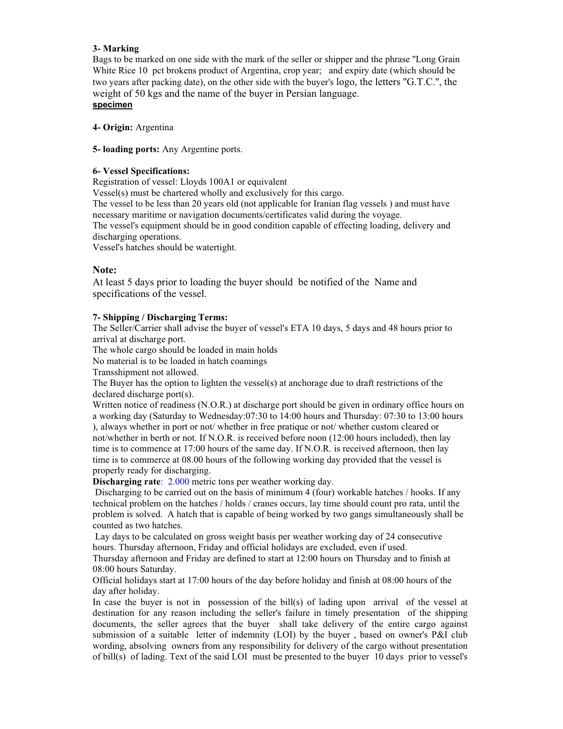### **3- Marking**

Bags to be marked on one side with the mark of the seller or shipper and the phrase ''Long Grain White Rice 10 pct brokens product of Argentina, crop year; and expiry date (which should be two years after packing date), on the other side with the buyer's logo, the letters ''G.T.C.'', the weight of 50 kgs and the name of the buyer in Persian language. **specimen**

**4- Origin:** Argentina

**5- loading ports:** Any Argentine ports.

#### **6- Vessel Specifications:**

Registration of vessel: Lloyds 100A1 or equivalent

Vessel(s) must be chartered wholly and exclusively for this cargo.

The vessel to be less than 20 years old (not applicable for Iranian flag vessels ) and must have necessary maritime or navigation documents/certificates valid during the voyage.

The vessel's equipment should be in good condition capable of effecting loading, delivery and discharging operations.

Vessel's hatches should be watertight.

### **Note:**

At least 5 days prior to loading the buyer should be notified of the Name and specifications of the vessel.

### **7- Shipping / Discharging Terms:**

The Seller/Carrier shall advise the buyer of vessel's ETA 10 days, 5 days and 48 hours prior to arrival at discharge port.

The whole cargo should be loaded in main holds

No material is to be loaded in hatch coamings

Transshipment not allowed.

The Buyer has the option to lighten the vessel(s) at anchorage due to draft restrictions of the declared discharge port(s).

Written notice of readiness (N.O.R.) at discharge port should be given in ordinary office hours on a working day (Saturday to Wednesday:07:30 to 14:00 hours and Thursday: 07:30 to 13:00 hours ), always whether in port or not/ whether in free pratique or not/ whether custom cleared or not/whether in berth or not. If N.O.R. is received before noon (12:00 hours included), then lay time is to commence at 17:00 hours of the same day. If N.O.R. is received afternoon, then lay time is to commerce at 08.00 hours of the following working day provided that the vessel is properly ready for discharging.

**Discharging rate**: 2.000 metric tons per weather working day.

Discharging to be carried out on the basis of minimum 4 (four) workable hatches / hooks. If any technical problem on the hatches / holds / cranes occurs, lay time should count pro rata, until the problem is solved. A hatch that is capable of being worked by two gangs simultaneously shall be counted as two hatches.

 Lay days to be calculated on gross weight basis per weather working day of 24 consecutive hours. Thursday afternoon, Friday and official holidays are excluded, even if used.

Thursday afternoon and Friday are defined to start at 12:00 hours on Thursday and to finish at 08:00 hours Saturday.

Official holidays start at 17:00 hours of the day before holiday and finish at 08:00 hours of the day after holiday.

In case the buyer is not in possession of the bill(s) of lading upon arrival of the vessel at destination for any reason including the seller's failure in timely presentation of the shipping documents, the seller agrees that the buyer shall take delivery of the entire cargo against submission of a suitable letter of indemnity (LOI) by the buyer , based on owner's P&I club wording, absolving owners from any responsibility for delivery of the cargo without presentation of bill(s) of lading. Text of the said LOI must be presented to the buyer 10 days prior to vessel's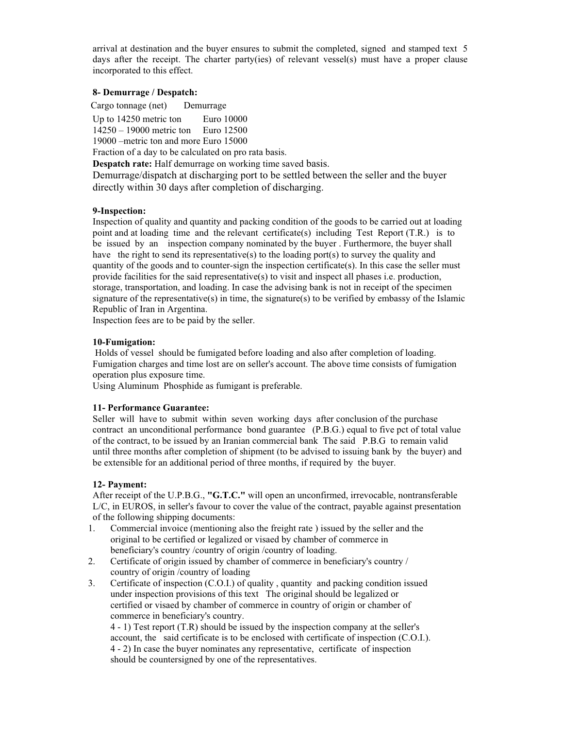arrival at destination and the buyer ensures to submit the completed, signed and stamped text 5 days after the receipt. The charter party(ies) of relevant vessel(s) must have a proper clause incorporated to this effect.

### **8- Demurrage / Despatch:**

Cargo tonnage (net) Demurrage Up to 14250 metric ton Euro 10000 14250 – 19000 metric ton Euro 12500 19000 –metric ton and more Euro 15000

Fraction of a day to be calculated on pro rata basis.

**Despatch rate:** Half demurrage on working time saved basis.

Demurrage/dispatch at discharging port to be settled between the seller and the buyer directly within 30 days after completion of discharging.

#### **9-Inspection:**

Inspection of quality and quantity and packing condition of the goods to be carried out at loading point and at loading time and the relevant certificate(s) including Test Report (T.R.) is to be issued by an inspection company nominated by the buyer . Furthermore, the buyer shall have the right to send its representative(s) to the loading port(s) to survey the quality and quantity of the goods and to counter-sign the inspection certificate(s). In this case the seller must provide facilities for the said representative(s) to visit and inspect all phases i.e. production, storage, transportation, and loading. In case the advising bank is not in receipt of the specimen signature of the representative(s) in time, the signature(s) to be verified by embassy of the Islamic Republic of Iran in Argentina.

Inspection fees are to be paid by the seller.

### **10-Fumigation:**

 Holds of vessel should be fumigated before loading and also after completion of loading. Fumigation charges and time lost are on seller's account. The above time consists of fumigation operation plus exposure time.

Using Aluminum Phosphide as fumigant is preferable.

### **11- Performance Guarantee:**

Seller will have to submit within seven working days after conclusion of the purchase contract an unconditional performance bond guarantee (P.B.G.) equal to five pct of total value of the contract, to be issued by an Iranian commercial bank The said P.B.G to remain valid until three months after completion of shipment (to be advised to issuing bank by the buyer) and be extensible for an additional period of three months, if required by the buyer.

### **12- Payment:**

After receipt of the U.P.B.G., **"G.T.C."** will open an unconfirmed, irrevocable, nontransferable L/C, in EUROS, in seller's favour to cover the value of the contract, payable against presentation of the following shipping documents:

- 1. Commercial invoice (mentioning also the freight rate ) issued by the seller and the original to be certified or legalized or visaed by chamber of commerce in beneficiary's country /country of origin /country of loading.
- 2. Certificate of origin issued by chamber of commerce in beneficiary's country / country of origin /country of loading
- 3. Certificate of inspection (C.O.I.) of quality , quantity and packing condition issued under inspection provisions of this text The original should be legalized or certified or visaed by chamber of commerce in country of origin or chamber of commerce in beneficiary's country.

4 - 1) Test report (T.R) should be issued by the inspection company at the seller's account, the said certificate is to be enclosed with certificate of inspection (C.O.I.). 4 - 2) In case the buyer nominates any representative, certificate of inspection should be countersigned by one of the representatives.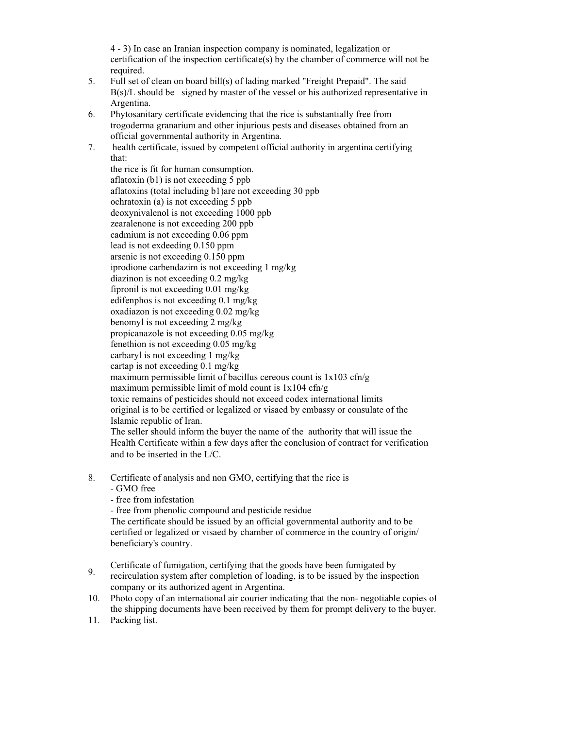4 - 3) In case an Iranian inspection company is nominated, legalization or certification of the inspection certificate(s) by the chamber of commerce will not be required.

- 5. Full set of clean on board bill(s) of lading marked "Freight Prepaid". The said B(s)/L should be signed by master of the vessel or his authorized representative in Argentina.
- 6. Phytosanitary certificate evidencing that the rice is substantially free from trogoderma granarium and other injurious pests and diseases obtained from an official governmental authority in Argentina.
- 7. health certificate, issued by competent official authority in argentina certifying that:

the rice is fit for human consumption. aflatoxin (b1) is not exceeding 5 ppb aflatoxins (total including b1)are not exceeding 30 ppb ochratoxin (a) is not exceeding 5 ppb deoxynivalenol is not exceeding 1000 ppb zearalenone is not exceeding 200 ppb cadmium is not exceeding 0.06 ppm lead is not exdeeding 0.150 ppm arsenic is not exceeding 0.150 ppm iprodione carbendazim is not exceeding 1 mg/kg diazinon is not exceeding 0.2 mg/kg fipronil is not exceeding 0.01 mg/kg edifenphos is not exceeding 0.1 mg/kg oxadiazon is not exceeding 0.02 mg/kg benomyl is not exceeding 2 mg/kg propicanazole is not exceeding 0.05 mg/kg fenethion is not exceeding 0.05 mg/kg carbaryl is not exceeding 1 mg/kg cartap is not exceeding 0.1 mg/kg maximum permissible limit of bacillus cereous count is  $1x103$  cfn/g maximum permissible limit of mold count is  $1x104 \text{ cfn/g}$ toxic remains of pesticides should not exceed codex international limits original is to be certified or legalized or visaed by embassy or consulate of the Islamic republic of Iran. The seller should inform the buyer the name of the authority that will issue the Health Certificate within a few days after the conclusion of contract for verification and to be inserted in the L/C.

- 8. Certificate of analysis and non GMO, certifying that the rice is
	- GMO free
	- free from infestation

- free from phenolic compound and pesticide residue

The certificate should be issued by an official governmental authority and to be certified or legalized or visaed by chamber of commerce in the country of origin/ beneficiary's country.

- Certificate of fumigation, certifying that the goods have been fumigated by
- 9. recirculation system after completion of loading, is to be issued by the inspection company or its authorized agent in Argentina.
- 10. Photo copy of an international air courier indicating that the non- negotiable copies of the shipping documents have been received by them for prompt delivery to the buyer.
- 11. Packing list.